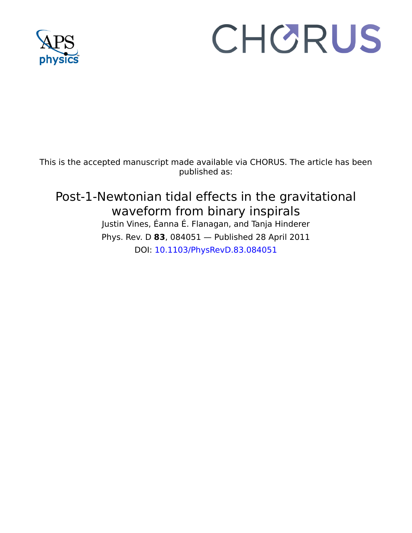

# CHORUS

This is the accepted manuscript made available via CHORUS. The article has been published as:

# Post-1-Newtonian tidal effects in the gravitational waveform from binary inspirals

Justin Vines, Éanna É. Flanagan, and Tanja Hinderer Phys. Rev. D **83**, 084051 — Published 28 April 2011 DOI: [10.1103/PhysRevD.83.084051](http://dx.doi.org/10.1103/PhysRevD.83.084051)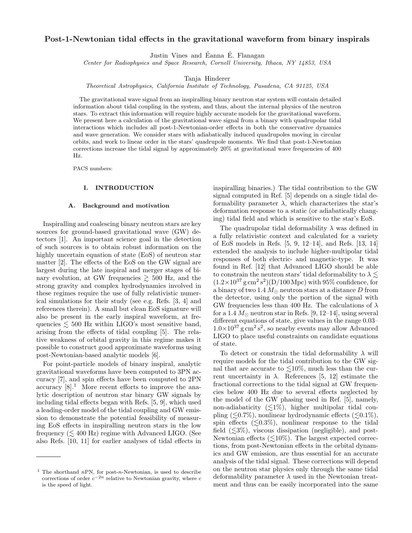# Post-1-Newtonian tidal effects in the gravitational waveform from binary inspirals

Justin Vines and Éanna É. Flanagan

Center for Radiophysics and Space Research, Cornell University, Ithaca, NY 14853, USA

Tanja Hinderer

Theoretical Astrophysics, California Institute of Technology, Pasadena, CA 91125, USA

The gravitational wave signal from an inspiralling binary neutron star system will contain detailed information about tidal coupling in the system, and thus, about the internal physics of the neutron stars. To extract this information will require highly accurate models for the gravitational waveform. We present here a calculation of the gravitational wave signal from a binary with quadrupolar tidal interactions which includes all post-1-Newtonian-order effects in both the conservative dynamics and wave generation. We consider stars with adiabatically induced quadrupoles moving in circular orbits, and work to linear order in the stars' quadrupole moments. We find that post-1-Newtonian corrections increase the tidal signal by approximately 20% at gravitational wave frequencies of 400 Hz.

PACS numbers:

## I. INTRODUCTION

#### A. Background and motivation

REVIEW COPY and wave game<br>and were consists, and wave to these mass consists and wave to the<br>star of the star quantumonic wave measures with that past-1-3 extends of<br>these materials increase the tidal signal by approximately 20% at g Inspiralling and coalescing binary neutron stars are key sources for ground-based gravitational wave (GW) detectors [1]. An important science goal in the detection of such sources is to obtain robust information on the highly uncertain equation of state (EoS) of neutron star matter [2]. The effects of the EoS on the GW signal are largest during the late inspiral and merger stages of binary evolution, at GW frequencies  $\geq 500$  Hz, and the strong gravity and complex hydrodynamics involved in these regimes require the use of fully relativistic numerical simulations for their study (see e.g. Refs. [3, 4] and references therein). A small but clean EoS signature will also be present in the early inspiral waveform, at frequencies  $\lesssim$  500 Hz within LIGO's most sensitive band, arising from the effects of tidal coupling [5]. The relative weakness of orbital gravity in this regime makes it possible to construct good approximate waveforms using post-Newtonian-based analytic models [6].

For point-particle models of binary inspiral, analytic gravitational waveforms have been computed to 3PN accuracy [7], and spin effects have been computed to 2PN  $\arccuracy$  [8].<sup>1</sup> More recent efforts to improve the analytic description of neutron star binary GW signals by including tidal effects began with Refs. [5, 9], which used a leading-order model of the tidal coupling and GW emission to demonstrate the potential feasibility of measuring EoS effects in inspiralling neutron stars in the low frequency  $(\leq 400 \text{ Hz})$  regime with Advanced LIGO. (See also Refs. [10, 11] for earlier analyses of tidal effects in

inspiralling binaries.) The tidal contribution to the GW signal computed in Ref. [5] depends on a single tidal deformability parameter  $\lambda$ , which characterizes the star's deformation response to a static (or adiabatically changing) tidal field and which is sensitive to the star's EoS.

The quadrupolar tidal deformability  $\lambda$  was defined in a fully relativistic context and calculated for a variety of EoS models in Refs. [5, 9, 12–14], and Refs. [13, 14] extended the analysis to include higher-multipolar tidal responses of both electric- and magnetic-type. It was found in Ref. [12] that Advanced LIGO should be able to constrain the neutron stars' tidal deformability to  $\lambda \lesssim$  $(1.2\times10^{37} \text{ g cm}^2 \text{ s}^2)(D/100 \text{ Mpc})$  with 95% confidence, for a binary of two 1.4  $M_{\odot}$  neutron stars at a distance D from the detector, using only the portion of the signal with GW frequencies less than 400 Hz. The calculations of  $\lambda$ for a 1.4  $M_{\odot}$  neutron star in Refs. [9, 12–14], using several different equations of state, give values in the range 0.03–  $1.0\times10^{37}$  g cm<sup>2</sup> s<sup>2</sup>, so nearby events may allow Advanced LIGO to place useful constraints on candidate equations of state.

To detect or constrain the tidal deformability  $\lambda$  will require models for the tidal contribution to the GW signal that are accurate to  $\leq 10\%$ , much less than the current uncertainty in  $\lambda$ . References [5, 12] estimate the fractional corrections to the tidal signal at GW frequencies below 400 Hz due to several effects neglected by the model of the GW phasing used in Ref. [5], namely, non-adiabaticity  $(\leq 1\%)$ , higher multipolar tidal coupling ( $\leq 0.7\%$ ), nonlinear hydrodynamic effects ( $\leq 0.1\%$ ), spin effects  $(\leq 0.3\%)$ , nonlinear response to the tidal field  $(\leq 3\%)$ , viscous dissipation (negligible), and post-Newtonian effects  $(\leq 10\%)$ . The largest expected corrections, from post-Newtonian effects in the orbital dynamics and GW emission, are thus essential for an accurate analysis of the tidal signal. These corrections will depend on the neutron star physics only through the same tidal deformability parameter  $\lambda$  used in the Newtonian treatment and thus can be easily incorporated into the same

<sup>&</sup>lt;sup>1</sup> The shorthand nPN, for post-n-Newtonian, is used to describe corrections of order  $c^{-2n}$  relative to Newtonian gravity, where c is the speed of light.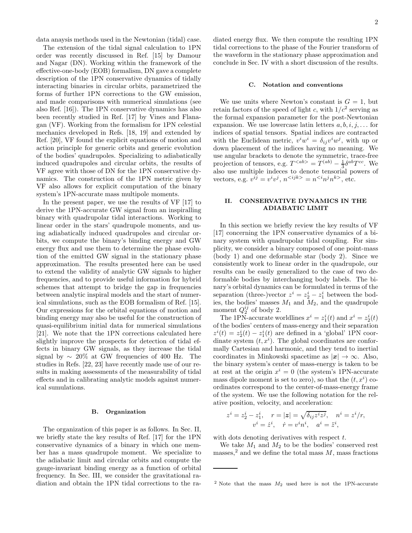data anaysis methods used in the Newtonian (tidal) case.

The extension of the tidal signal calculation to 1PN order was recently discussed in Ref. [15] by Damour and Nagar (DN). Working within the framework of the effective-one-body (EOB) formalism, DN gave a complete description of the 1PN conservative dynamics of tidally interacting binaries in circular orbits, parametrized the forms of further 1PN corrections to the GW emission, and made comparisons with numerical simulations (see also Ref. [16]). The 1PN conservative dynamics has also been recently studied in Ref. [17] by Vines and Flanagan (VF). Working from the formalism for 1PN celestial mechanics developed in Refs. [18, 19] and extended by Ref. [20], VF found the explicit equations of motion and action principle for generic orbits and generic evolution of the bodies' quadrupoles. Specializing to adiabatically induced quadrupoles and circular orbits, the results of VF agree with those of DN for the 1PN conservative dynamics. The construction of the 1PN metric given by VF also allows for explicit computation of the binary system's 1PN-accurate mass multipole moments.

In the present paper, we use the results of VF [17] to derive the 1PN-accurate GW signal from an inspiralling binary with quadrupolar tidal interactions. Working to linear order in the stars' quadrupole moments, and using adiabatically induced quadrupoles and circular orbits, we compute the binary's binding energy and GW energy flux and use them to determine the phase evolution of the emitted GW signal in the stationary phase approximation. The results presented here can be used to extend the validity of analytic GW signals to higher frequencies, and to provide useful information for hybrid schemes that attempt to bridge the gap in frequencies between analytic inspiral models and the start of numerical simulations, such as the EOB formalism of Ref. [15]. Our expressions for the orbital equations of motion and binding energy may also be useful for the construction of quasi-equilibrium initial data for numerical simulations [21]. We note that the 1PN corrections calculated here slightly improve the prospects for detection of tidal effects in binary GW signals, as they increase the tidal signal by  $\sim 20\%$  at GW frequencies of 400 Hz. The studies in Refs. [22, 23] have recently made use of our results in making assessments of the measurability of tidal effects and in calibrating analytic models against numerical sumulations.

#### B. Organization

The organization of this paper is as follows. In Sec. II, we briefly state the key results of Ref. [17] for the 1PN conservative dynamics of a binary in which one member has a mass quadrupole moment. We specialize to the adiabatic limit and circular orbits and compute the gauge-invariant binding energy as a function of orbital frequency. In Sec. III, we consider the gravitational radiation and obtain the 1PN tidal corrections to the radiated energy flux. We then compute the resulting 1PN tidal corrections to the phase of the Fourier transform of the waveform in the stationary phase approximation and conclude in Sec. IV with a short discussion of the results.

#### C. Notation and conventions

We use units where Newton's constant is  $G = 1$ , but retain factors of the speed of light c, with  $1/c^2$  serving as the formal expansion parameter for the post-Newtonian expansion. We use lowercase latin letters  $a, b, i, j, \ldots$  for indices of spatial tensors. Spatial indices are contracted with the Euclidean metric,  $v^i w^i = \delta_{ij} v^i w^j$ , with up or down placement of the indices having no meaning. We use angular brackets to denote the symmetric, trace-free projection of tensors, e.g.  $T^{} = T^{(ab)} - \frac{1}{3} \delta^{ab} T^{cc}$ . We also use multiple indeces to denote tensorial powers of vectors, e.g.  $v^{ij} = v^i v^j$ ,  $n^{} = n^{}$ , etc.

### II. CONSERVATIVE DYNAMICS IN THE ADIABATIC LIMIT

In this section we briefly review the key results of VF [17] concerning the 1PN conservative dynamics of a binary system with quadrupolar tidal coupling. For simplicity, we consider a binary composed of one point-mass (body 1) and one deformable star (body 2). Since we consistently work to linear order in the quadrupole, our results can be easily generalized to the case of two deformable bodies by interchanging body labels. The binary's orbital dynamics can be formulated in terms of the separation (three-)vector  $z^i = z_2^i - z_1^i$  between the bodies, the bodies' masses  $M_1$  and  $M_2$ , and the quadrupole moment  $Q_2^{ij}$  of body 2.

The 1PN-accurate worldlines  $x^i = z_1^i(t)$  and  $x^i = z_2^i(t)$ of the bodies' centers of mass-energy and their separation  $z^{i}(t) = z_{2}^{i}(t) - z_{1}^{i}(t)$  are defined in a 'global' 1PN coordinate system  $(t, x<sup>i</sup>)$ . The global coordinates are conformally Cartesian and harmonic, and they tend to inertial coordinates in Minkowski spacetime as  $|x| \to \infty$ . Also, the binary system's center of mass-energy is taken to be at rest at the origin  $x^i = 0$  (the system's 1PN-accurate mass dipole moment is set to zero), so that the  $(t, x<sup>i</sup>)$  coordinates correspond to the center-of-mass-energy frame of the system. We use the following notation for the relative position, velocity, and acceleration:

$$
z^i = z^i_2 - z^i_1, \quad r = |\mathbf{z}| = \sqrt{\delta_{ij} z^i z^j}, \quad n^i = z^i/r,
$$
  

$$
v^i = \dot{z}^i, \quad \dot{r} = v^i n^i, \quad a^i = \ddot{z}^i,
$$

with dots denoting derivatives with respect  $t$ .

We take  $M_1$  and  $M_2$  to be the bodies' conserved rest masses,<sup>2</sup> and we define the total mass  $M$ , mass fractions

<sup>&</sup>lt;sup>2</sup> Note that the mass  $M_2$  used here is not the 1PN-accurate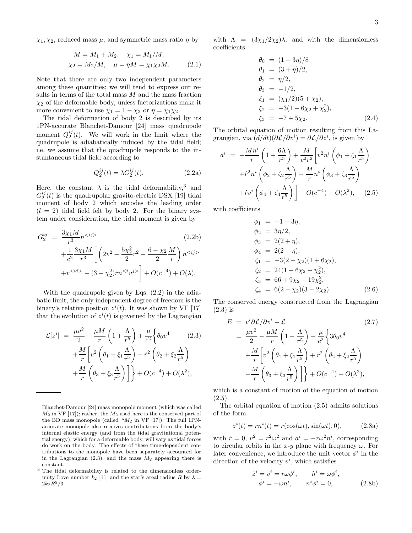$\chi_1, \chi_2$ , reduced mass  $\mu$ , and symmetric mass ratio  $\eta$  by

$$
M = M_1 + M_2, \quad \chi_1 = M_1/M,
$$
  
\n
$$
\chi_2 = M_2/M, \quad \mu = \eta M = \chi_1 \chi_2 M.
$$
 (2.1)

Note that there are only two independent parameters among these quantities; we will tend to express our results in terms of the total mass  $M$  and the mass fraction  $\chi_2$  of the deformable body, unless factorizations make it more convenient to use  $\chi_1 = 1 - \chi_2$  or  $\eta = \chi_1 \chi_2$ .

The tidal deformation of body 2 is described by its 1PN-accurate Blanchet-Damour [24] mass quadrupole moment  $Q_2^{ij}(t)$ . We will work in the limit where the quadrupole is adiabatically induced by the tidal field; i.e. we assume that the quadrupole responds to the instantaneous tidal field according to

$$
Q_2^{ij}(t) = \lambda G_2^{ij}(t). \tag{2.2a}
$$

Here, the constant  $\lambda$  is the tidal deformability,<sup>3</sup> and  $G_2^{ij}(t)$  is the quadrupolar gravito-electric DSX [19] tidal moment of body 2 which encodes the leading order  $(l = 2)$  tidal field felt by body 2. For the binary system under consideration, the tidal moment is given by

$$
G_2^{ij} = \frac{3\chi_1 M}{r^3} n^{} + \frac{1}{c^2} \frac{3\chi_1 M}{r^3} \left[ \left( 2v^2 - \frac{5\chi_2^2}{2} \dot{r}^2 - \frac{6 - \chi_2 M}{2} \right) n^{} + v^{} - (3 - \chi_2^2) \dot{r} n^{\n(2.2b)
$$

With the quadrupole given by Eqs. (2.2) in the adiabatic limit, the only independent degree of freedom is the binary's relative position  $z^i(t)$ . It was shown by VF [17] that the evolution of  $z^{i}(t)$  is governed by the Lagrangian

$$
\mathcal{L}[z^{i}] = \frac{\mu v^{2}}{2} + \frac{\mu M}{r} \left( 1 + \frac{\Lambda}{r^{5}} \right) + \frac{\mu}{c^{2}} \left\{ \theta_{0} v^{4} \right. \qquad (2.3)
$$

$$
+ \frac{M}{r} \left[ v^{2} \left( \theta_{1} + \xi_{1} \frac{\Lambda}{r^{5}} \right) + \dot{r}^{2} \left( \theta_{2} + \xi_{2} \frac{\Lambda}{r^{5}} \right) + \frac{M}{r} \left( \theta_{3} + \xi_{3} \frac{\Lambda}{r^{5}} \right) \right] \right\} + O(c^{-4}) + O(\lambda^{2}),
$$

with  $\Lambda = (3\chi_1/2\chi_2)\lambda$ , and with the dimensionless coefficients

$$
\theta_0 = (1 - 3\eta)/8 \n\theta_1 = (3 + \eta)/2, \n\theta_2 = \eta/2, \n\theta_3 = -1/2, \n\xi_1 = (\chi_1/2)(5 + \chi_2), \n\xi_2 = -3(1 - 6\chi_2 + \chi_2^2), \n\xi_3 = -7 + 5\chi_2.
$$
\n(2.4)

The orbital equation of motion resulting from this Lagrangian, via  $(d/dt)(\partial \mathcal{L}/\partial v^i) = \partial \mathcal{L}/\partial z^i$ , is given by

$$
a^{i} = -\frac{Mn^{i}}{r} \left( 1 + \frac{6\Lambda}{r^{5}} \right) + \frac{M}{c^{2}r^{2}} \left[ v^{2}n^{i} \left( \phi_{1} + \zeta_{1} \frac{\Lambda}{r^{5}} \right) + \dot{r}^{2}n^{i} \left( \phi_{2} + \zeta_{2} \frac{\Lambda}{r^{5}} \right) + \frac{M}{r}n^{i} \left( \phi_{3} + \zeta_{3} \frac{\Lambda}{r^{5}} \right) + \dot{r}v^{i} \left( \phi_{4} + \zeta_{4} \frac{\Lambda}{r^{5}} \right) \right] + O(c^{-4}) + O(\lambda^{2}), \quad (2.5)
$$

with coefficients

$$
\begin{aligned}\n\phi_1 &= -1 - 3\eta, \\
\phi_2 &= 3\eta/2, \\
\phi_3 &= 2(2 + \eta), \\
\phi_4 &= 2(2 - \eta), \\
\zeta_1 &= -3(2 - \chi_2)(1 + 6\chi_2), \\
\zeta_2 &= 24(1 - 6\chi_2 + \chi_2^2), \\
\zeta_3 &= 66 + 9\chi_2 - 19\chi_2^2, \\
\zeta_4 &= 6(2 - \chi_2)(3 - 2\chi_2).\n\end{aligned} \tag{2.6}
$$

The conserved energy constructed from the Lagrangian (2.3) is

$$
E = v^{i} \frac{\partial \mathcal{L}}{\partial v^{i}} - \mathcal{L}
$$
\n
$$
= \frac{\mu v^{2}}{2} - \frac{\mu M}{r} \left( 1 + \frac{\Lambda}{r^{5}} \right) + \frac{\mu}{c^{2}} \left\{ 3\theta_{0} v^{4} + \frac{M}{r} \left[ v^{2} \left( \theta_{1} + \xi_{1} \frac{\Lambda}{r^{5}} \right) + \dot{r}^{2} \left( \theta_{2} + \xi_{2} \frac{\Lambda}{r^{5}} \right) \right] - \frac{M}{r} \left( \theta_{3} + \xi_{3} \frac{\Lambda}{r^{5}} \right) \right\} + O(c^{-4}) + O(\lambda^{2}),
$$
\n(2.7)

which is a constant of motion of the equation of motion  $(2.5).$ 

The orbital equation of motion (2.5) admits solutions of the form

$$
z^{i}(t) = rn^{i}(t) = r(\cos(\omega t), \sin(\omega t), 0), \qquad (2.8a)
$$

with  $\dot{r} = 0$ ,  $v^2 = r^2 \omega^2$  and  $a^i = -r \omega^2 n^i$ , corresponding to circular orbits in the x-y plane with frequency  $\omega$ . For later convenience, we introduce the unit vector  $\phi^i$  in the direction of the velocity  $v^i$ , which satisfies

$$
\dot{z}^i = v^i = r\omega\phi^i, \qquad \dot{n}^i = \omega\phi^i, \n\dot{\phi}^i = -\omega n^i, \qquad n^i\phi^i = 0,
$$
\n(2.8b)

Blanchet-Damour [24] mass monopole moment (which was called  $M_2$  in VF [17]); rather, the  $M_2$  used here is the conserved part of the BD mass monopole (called  $^nM_2$  in VF [17]). The full 1PNaccurate monopole also receives contributions from the body's internal elastic energy (and from the tidal gravitational potential energy), which for a deformable body, will vary as tidal forces do work on the body. The effects of these time-dependent contributions to the monopole have been separately accounted for in the Lagrangian  $(2.3)$ , and the mass  $M_2$  appearing there is constant.

<sup>3</sup> The tidal deformability is related to the dimensionless orderunity Love number  $k_2$  [11] and the star's areal radius R by  $\lambda =$  $2k_2R^5/3.$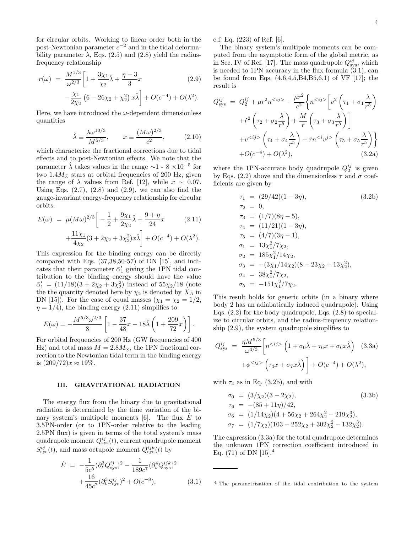for circular orbits. Working to linear order both in the post-Newtonian parameter  $c^{-2}$  and in the tidal deformability parameter  $\lambda$ , Eqs. (2.5) and (2.8) yield the radiusfrequency relationship

$$
r(\omega) = \frac{M^{1/3}}{\omega^{2/3}} \left[ 1 + \frac{3\chi_1}{\chi_2} \hat{\lambda} + \frac{\eta - 3}{3} x \right] \qquad (2.9)
$$

$$
- \frac{\chi_1}{2\chi_2} \left( 6 - 26\chi_2 + \chi_2^2 \right) x \hat{\lambda} \right] + O(c^{-4}) + O(\lambda^2).
$$

Here, we have introduced the  $\omega$ -dependent dimensionless quantities

$$
\hat{\lambda} \equiv \frac{\lambda \omega^{10/3}}{M^{5/3}}, \qquad x \equiv \frac{(M\omega)^{2/3}}{c^2},
$$
\n(2.10)

which characterize the fractional corrections due to tidal effects and to post-Newtonian effects. We note that the parameter  $\hat{\lambda}$  takes values in the range  $\sim$ 1 - 8 ×10<sup>-5</sup> for two 1.4 $M_{\odot}$  stars at orbital frequencies of 200 Hz, given the range of  $\lambda$  values from Ref. [12], while  $x \sim 0.07$ . Using Eqs.  $(2.7)$ ,  $(2.8)$  and  $(2.9)$ , we can also find the gauge-invariant energy-frequency relationship for circular orbits:

$$
E(\omega) = \mu (M\omega)^{2/3} \left[ -\frac{1}{2} + \frac{9\chi_1}{2\chi_2} \hat{\lambda} + \frac{9+\eta}{24} x \right] \qquad (2.11)
$$

$$
+ \frac{11\chi_1}{4\chi_2} (3 + 2\chi_2 + 3\chi_2^2) x \hat{\lambda} \right] + O(c^{-4}) + O(\lambda^2).
$$

This expression for the binding energy can be directly compared with Eqs.  $(37,38,50-57)$  of DN  $[15]$ , and indicates that their parameter  $\bar{\alpha}'_1$  giving the 1PN tidal contribution to the binding energy should have the value  $\bar{\alpha}'_1 = (11/18)(3 + 2\chi_2 + 3\chi_2^2)$  instead of  $55\chi_2/18$  (note the the quantity denoted here by  $\chi_2$  is denoted by  $X_A$  in DN [15]). For the case of equal masses  $(\chi_1 = \chi_2 = 1/2,$  $\eta = 1/4$ , the binding energy (2.11) simplifies to

$$
E(\omega) = -\frac{M^{5/3} \omega^{2/3}}{8} \left[ 1 - \frac{37}{48} x - 18 \hat{\lambda} \left( 1 + \frac{209}{72} x \right) \right].
$$

For orbital frequencies of 200 Hz (GW frequencies of 400 Hz) and total mass  $M = 2.8M_{\odot}$ , the 1PN fractional correction to the Newtonian tidal term in the binding energy is  $(209/72)x ≈ 19\%.$ 

# III. GRAVITATIONAL RADIATION

The energy flux from the binary due to gravitational radiation is determined by the time variation of the binary system's multipole moments  $[6]$ . The flux  $E$  to 3.5PN-order (or to 1PN-order relative to the leading 2.5PN flux) is given in terms of the total system's mass quadrupole moment  $Q_{\rm sys}^{ij}(t),$  current quadrupole moment  $S_{\rm sys}^{ij}(t)$ , and mass octupole moment  $Q_{\rm sys}^{ijk}(t)$  by

$$
\dot{E} = -\frac{1}{5c^5} (\partial_t^3 Q_{\text{sys}}^{ij})^2 - \frac{1}{189c^7} (\partial_t^4 Q_{\text{sys}}^{ijk})^2 + \frac{16}{45c^7} (\partial_t^3 S_{\text{sys}}^{ij})^2 + O(c^{-8}),
$$
\n(3.1)

c.f. Eq. (223) of Ref. [6].

The binary system's multipole moments can be computed from the asymptotic form of the global metric, as in Sec. IV of Ref. [17]. The mass quadrupole  $Q_{\text{sys}}^{ij}$ , which is needed to 1PN accuracy in the flux formula (3.1), can be found from Eqs. (4.6,4.5,B4,B5,6.1) of VF [17]; the result is

$$
Q_{\text{sys}}^{ij} = Q_2^{ij} + \mu r^2 n^{} + \frac{\mu r^2}{c^2} \left\{ n^{} \left[ v^2 \left( \tau_1 + \sigma_1 \frac{\lambda}{r^5} \right) + \dot{r}^2 \left( \tau_2 + \sigma_2 \frac{\lambda}{r^5} \right) + \frac{M}{r} \left( \tau_3 + \sigma_3 \frac{\lambda}{r^5} \right) \right] + v^{} \left( \tau_4 + \sigma_4 \frac{\lambda}{r^5} \right) + \dot{r} n^{} \left( \tau_5 + \sigma_5 \frac{\lambda}{r^5} \right) \right\} + O(c^{-4}) + O(\lambda^2), \tag{3.2a}
$$

where the 1PN-accurate body quadrupole  $Q_2^{ij}$  is given by Eqs. (2.2) above and the dimensionless  $\tau$  and  $\sigma$  coefficients are given by

$$
\tau_1 = (29/42)(1 - 3\eta), \qquad (3.2b)
$$
\n
$$
\tau_2 = 0, \qquad (3.2b)
$$
\n
$$
\tau_3 = (1/7)(8\eta - 5), \qquad \tau_4 = (11/21)(1 - 3\eta), \qquad \tau_5 = (4/7)(3\eta - 1), \qquad \sigma_1 = 13\chi_1^2/7\chi_2, \qquad \sigma_2 = 185\chi_1^2/14\chi_2, \qquad \sigma_3 = -(3\chi_1/14\chi_2)(8 + 23\chi_2 + 13\chi_2^2), \qquad \sigma_4 = 38\chi_1^2/7\chi_2, \qquad \sigma_5 = -151\chi_1^2/7\chi_2.
$$
\n(3.2b)

This result holds for generic orbits (in a binary where body 2 has an adiabatically induced quadrupole). Using Eqs. (2.2) for the body quadrupole, Eqs. (2.8) to specialize to circular orbits, and the radius-frequency relationship (2.9), the system quadrupole simplifies to

$$
Q_{\rm sys}^{ij} = \frac{\eta M^{5/3}}{\omega^{4/3}} \left[ n^{} \left( 1 + \sigma_0 \hat{\lambda} + \tau_6 x + \sigma_6 x \hat{\lambda} \right) \right] \tag{3.3a}
$$

$$
+ \phi^{} \left( \tau_4 x + \sigma_7 x \hat{\lambda} \right) + O(c^{-4}) + O(\lambda^2),
$$

with  $\tau_4$  as in Eq. (3.2b), and with

$$
\sigma_0 = (3/\chi_2)(3 - 2\chi_2),
$$
\n(3.3b)  
\n
$$
\tau_6 = -(85 + 11\eta)/42,
$$
\n
$$
\sigma_6 = (1/14\chi_2)(4 + 56\chi_2 + 264\chi_2^2 - 219\chi_2^3),
$$
\n
$$
\sigma_7 = (1/7\chi_2)(103 - 252\chi_2 + 302\chi_2^2 - 132\chi_2^3).
$$

The expression (3.3a) for the total quadrupole determines the unknown 1PN correction coefficient introduced in Eq.  $(71)$  of DN  $[15].<sup>4</sup>$ 

<sup>4</sup> The parametrization of the tidal contribution to the system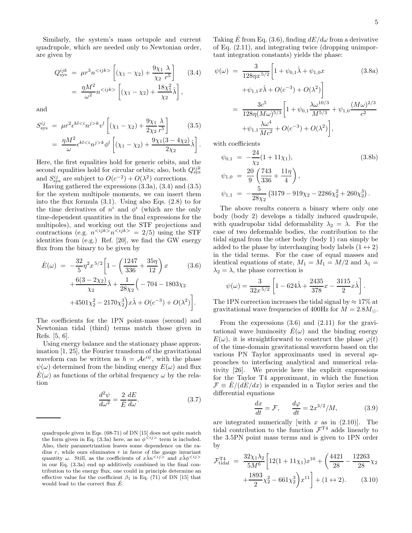Similarly, the system's mass octupole and current quadrupole, which are needed only to Newtonian order, are given by

$$
Q_{\text{sys}}^{ijk} = \mu r^3 n^{} \left[ (\chi_1 - \chi_2) + \frac{9\chi_1}{\chi_2} \frac{\lambda}{r^5} \right] \quad (3.4)
$$

$$
= \frac{\eta M^2}{\omega^2} n^{} \left[ (\chi_1 - \chi_2) + \frac{18\chi_1^2}{\chi_2} \hat{\lambda} \right],
$$

and

$$
S_{\rm sys}^{ij} = \mu r^2 \epsilon^{kl \langle i} n^{j \rangle k} v^l \left[ (\chi_1 - \chi_2) + \frac{9\chi_1}{2\chi_2} \frac{\lambda}{r^5} \right] \qquad (3.5)
$$
  
= 
$$
\frac{\eta M^2}{\omega} \epsilon^{kl \langle i} n^{j \rangle k} \phi^l \left[ (\chi_1 - \chi_2) + \frac{9\chi_1 (3 - 4\chi_2)}{2\chi_2} \hat{\lambda} \right].
$$

Here, the first equalities hold for generic orbits, and the second equalities hold for circular orbits; also, both  $Q_{\rm sys}^{ijk}$ and  $S_{sys}^{ij}$  are subject to  $O(c^{-2}) + O(\lambda^2)$  corrections.

Having gathered the expressions (3.3a), (3.4) and (3.5) for the system multipole moments, we can insert them into the flux formula  $(3.1)$ . Using also Eqs.  $(2.8)$  to for the time derivatives of  $n^i$  and  $\phi^i$  (which are the only time-dependent quantities in the final expressions for the multipoles), and working out the STF projections and contractions (e.g.  $n^{}n^{}$  = 2/5) using the STF identities from (e.g.) Ref. [20], we find the GW energy flux from the binary to be given by

$$
\dot{E}(\omega) = -\frac{32}{5} \eta^2 x^{5/2} \left[ 1 - \left( \frac{1247}{336} + \frac{35\eta}{12} \right) x \right] (3.6) \n+ \frac{6(3 - 2\chi_2)}{\chi_2} \hat{\lambda} + \frac{1}{28\chi_2} \left( -704 - 1803\chi_2 \right) \n+ 4501\chi_2^2 - 2170\chi_2^3 \hat{z} + O(c^{-3}) + O(\lambda^2) \right].
$$

The coefficients for the 1PN point-mass (second) and Newtonian tidal (third) terms match those given in Refs. [5, 6].

Using energy balance and the stationary phase approximation [1, 25], the Fourier transform of the gravitational waveform can be written as  $h = \mathcal{A}e^{i\psi}$ , with the phase  $\psi(\omega)$  determined from the binding energy  $E(\omega)$  and flux  $E(\omega)$  as functions of the orbital frequency  $\omega$  by the relation

$$
\frac{d^2\psi}{d\omega^2} = \frac{2}{\dot{E}} \frac{dE}{d\omega}.
$$
\n(3.7)

Taking  $\dot{E}$  from Eq. (3.6), finding  $dE/d\omega$  from a derivative of Eq. (2.11), and integrating twice (dropping unimportant integration constants) yields the phase:

$$
\psi(\omega) = \frac{3}{128\eta x^{5/2}} \left[ 1 + \psi_{0,1} \hat{\lambda} + \psi_{1,0} x \right] \tag{3.8a}
$$
\n
$$
+ \psi_{1,1} x \hat{\lambda} + O(c^{-3}) + O(\lambda^2) \right]
$$
\n
$$
= \frac{3c^5}{128\eta (M\omega)^{5/3}} \left[ 1 + \psi_{0,1} \frac{\lambda \omega^{10/3}}{M^{5/3}} + \psi_{1,0} \frac{(M\omega)^{2/3}}{c^2} + \psi_{1,1} \frac{\lambda \omega^4}{Mc^2} + O(c^{-3}) + O(\lambda^2) \right],
$$

with coefficients

$$
\psi_{0,1} = -\frac{24}{\chi_2} (1 + 11\chi_1),
$$
\n
$$
\psi_{1,0} = \frac{20}{9} \left( \frac{743}{336} + \frac{11\eta}{4} \right),
$$
\n
$$
\psi_{1,1} = -\frac{5}{28\chi_2} \left( 3179 - 919\chi_2 - 2286\chi_2^2 + 260\chi_2^3 \right).
$$
\n(3.8b)

The above results concern a binary where only one body (body 2) develops a tidally induced quadrupole, with quadrupolar tidal deformability  $\lambda_2 = \lambda$ . For the case of two deformable bodies, the contribution to the tidal signal from the other body (body 1) can simply be added to the phase by interchanging body labels  $(1 \leftrightarrow 2)$ in the tidal terms. For the case of equal masses and identical equations of state,  $M_1 = M_1 = M/2$  and  $\lambda_1 =$  $\lambda_2 = \lambda$ , the phase correction is

$$
\psi(\omega) = \frac{3}{32x^{5/2}} \left[ 1 - 624\hat{\lambda} + \frac{2435}{378}x - \frac{3115}{2}x\hat{\lambda} \right].
$$

The 1PN correction increases the tidal signal by  $\approx 17\%$  at gravitational wave frequencies of 400Hz for  $M = 2.8M_{\odot}$ .

From the expressions  $(3.6)$  and  $(2.11)$  for the gravitational wave luminosity  $E(\omega)$  and the binding energy  $E(\omega)$ , it is straightforward to construct the phase  $\varphi(t)$ of the time-domain gravitational waveform based on the various PN Taylor approximants used in several approaches to interfacing analytical and numerical relativity [26]. We provide here the explicit expressions for the Taylor T4 approximant, in which the function  $\mathcal{F} \equiv E/(dE/dx)$  is expanded in a Taylor series and the differential equations

$$
\frac{dx}{dt} = \mathcal{F}, \qquad \frac{d\varphi}{dt} = 2x^{3/2}/M,\tag{3.9}
$$

are integrated numerically [with  $x$  as in  $(2.10)$ ]. The tidal contribution to the function  $\mathcal{F}^{T4}$  adds linearly to the 3.5PN point mass terms and is given to 1PN order by

$$
\mathcal{F}^{\text{T4}}_{\text{tidal}} = \frac{32\chi_1\lambda_2}{5M^6} \left[ 12(1+11\chi_1)x^{10} + \left(\frac{4421}{28} - \frac{12263}{28}\chi_2 + \frac{1893}{2}\chi_2^2 - 661\chi_2^3 \right) x^{11} \right] + (1 \leftrightarrow 2). \tag{3.10}
$$

quadrupole given in Eqs. (68-71) of DN [15] does not quite match the form given in Eq. (3.3a) here, as no  $\phi^{(i)}$  term is included. Also, their parametrization leaves some dependence on the radius  $r$ , while ours eliminates  $r$  in favor of the gauge invariant quantity  $\omega$ . Still, as the coefficients of  $x\hat{\lambda}n^{\langle ij\rangle}$  and  $x\hat{\lambda}\phi^{\langle ij\rangle}$ in our Eq. (3.3a) end up additively combined in the final contribution to the energy flux, one could in principle determine an effective value for the coefficient  $\beta_1$  in Eq. (71) of DN [15] that would lead to the correct flux  $\dot{E}$ .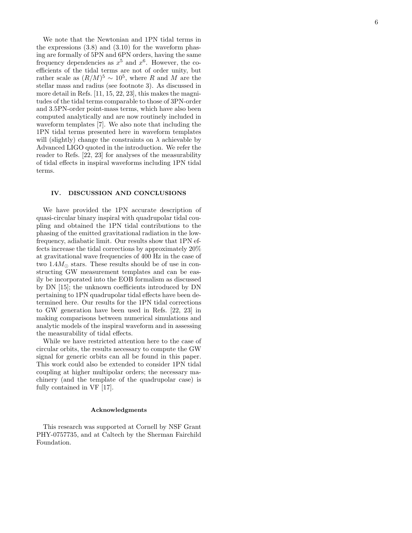We note that the Newtonian and 1PN tidal terms in the expressions  $(3.8)$  and  $(3.10)$  for the waveform phasing are formally of 5PN and 6PN orders, having the same frequency dependencies as  $x^5$  and  $x^6$ . However, the coefficients of the tidal terms are not of order unity, but rather scale as  $(R/M)^5 \sim 10^5$ , where R and M are the stellar mass and radius (see footnote 3). As discussed in more detail in Refs. [11, 15, 22, 23], this makes the magnitudes of the tidal terms comparable to those of 3PN-order and 3.5PN-order point-mass terms, which have also been computed analytically and are now routinely included in waveform templates [7]. We also note that including the 1PN tidal terms presented here in waveform templates will (slightly) change the constraints on  $\lambda$  achievable by Advanced LIGO quoted in the introduction. We refer the reader to Refs. [22, 23] for analyses of the measurability of tidal effects in inspiral waveforms including 1PN tidal terms.

#### IV. DISCUSSION AND CONCLUSIONS

We have provided the 1PN accurate description of quasi-circular binary inspiral with quadrupolar tidal coupling and obtained the 1PN tidal contributions to the phasing of the emitted gravitational radiation in the lowfrequency, adiabatic limit. Our results show that 1PN effects increase the tidal corrections by approximately 20% at gravitational wave frequencies of 400 Hz in the case of two  $1.4M_{\odot}$  stars. These results should be of use in constructing GW measurement templates and can be easily be incorporated into the EOB formalism as discussed by DN [15]; the unknown coefficients introduced by DN pertaining to 1PN quadrupolar tidal effects have been determined here. Our results for the 1PN tidal corrections to GW generation have been used in Refs. [22, 23] in making comparisons between numerical simulations and analytic models of the inspiral waveform and in assessing the measurability of tidal effects.

While we have restricted attention here to the case of circular orbits, the results necessary to compute the GW signal for generic orbits can all be found in this paper. This work could also be extended to consider 1PN tidal coupling at higher multipolar orders; the necessary machinery (and the template of the quadrupolar case) is fully contained in VF [17].

#### Acknowledgments

This research was supported at Cornell by NSF Grant PHY-0757735, and at Caltech by the Sherman Fairchild Foundation.